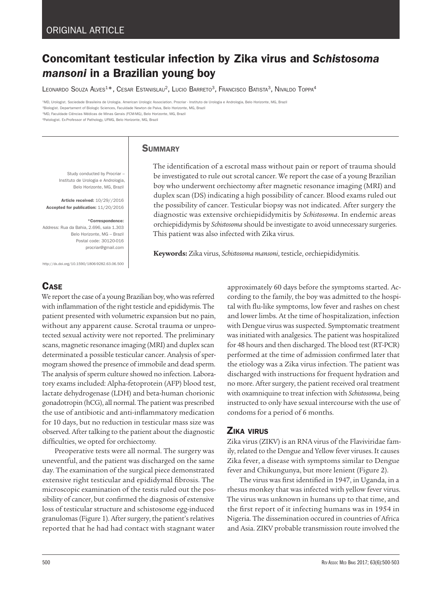## Concomitant testicular infection by Zika virus and *Schistosoma mansoni* in a Brazilian young boy

LEONARDO SOUZA ALVES<sup>1\*</sup>, CESAR ESTANISLAU<sup>2</sup>, LUCIO BARRETO<sup>3</sup>, FRANCISCO BATISTA<sup>3</sup>, NIVALDO TOPPA<sup>4</sup>

1MD, Urologist. Sociedade Brasileira de Urologia. American Urologic Association. Procriar - Instituto de Urologia e Andrologia, Belo Horizonte, MG, Brazil 2Biologist. Departament of Biologic Sciences, Faculdade Newton de Paiva, Belo Horizonte, MG, Brazil 3MD, Faculdade Ciências Médicas de Minas Gerais (FCM-MG), Belo Horizonte, MG, Brazil 4Patologist. Ex-Professor of Pathology, UFMG, Belo Horizonte, MG, Brazil

## **SUMMARY**

Study conducted by Procriar – Instituto de Urologia e Andrologia, Belo Horizonte, MG, Brazil

Article received: 10/29//2016 Accepted for publication: 11/20/2016

#### \*Correspondence:

Address: Rua da Bahia, 2.696, sala 1.303 Belo Horizonte, MG – Brazil Postal code: 30120-016 procriar@gmail.com

http://dx.doi.org/10.1590/1806-9282.63.06.500

The identification of a escrotal mass without pain or report of trauma should be investigated to rule out scrotal cancer. We report the case of a young Brazilian boy who underwent orchiectomy after magnetic resonance imaging (MRI) and duplex scan (DS) indicating a high possibility of cancer. Blood exams ruled out the possibility of cancer. Testicular biopsy was not indicated. After surgery the diagnostic was extensive orchiepididymitis by *Schistosoma*. In endemic areas orchiepididymis by *Schistosoma* should be investigate to avoid unnecessary surgeries. This patient was also infected with Zika virus.

**Keywords:** Zika virus, *Schistosoma mansoni*, testicle, orchiepididymitis.

# **CASE**

We report the case of a young Brazilian boy, who was referred with inflammation of the right testicle and epididymis. The patient presented with volumetric expansion but no pain, without any apparent cause. Scrotal trauma or unprotected sexual activity were not reported. The preliminary scans, magnetic resonance imaging (MRI) and duplex scan determinated a possible testicular cancer. Analysis of spermogram showed the presence of immobile and dead sperm. The analysis of sperm culture showed no infection. Laboratory exams included: Alpha-fetoprotein (AFP) blood test, lactate dehydrogenase (LDH) and beta-human chorionic gonadotropin (hCG), all normal. The patient was prescribed the use of antibiotic and anti-inflammatory medication for 10 days, but no reduction in testicular mass size was observed. After talking to the patient about the diagnostic difficulties, we opted for orchiectomy.

Preoperative tests were all normal. The surgery was uneventful, and the patient was discharged on the same day. The examination of the surgical piece demonstrated extensive right testicular and epididymal fibrosis. The microscopic examination of the testis ruled out the possibility of cancer, but confirmed the diagnosis of extensive loss of testicular structure and schistosome egg-induced granulomas (Figure 1). After surgery, the patient's relatives reported that he had had contact with stagnant water

approximately 60 days before the symptoms started. According to the family, the boy was admitted to the hospital with flu-like symptoms, low fever and rashes on chest and lower limbs. At the time of hospitalization, infection with Dengue virus was suspected. Symptomatic treatment was initiated with analgesics. The patient was hospitalized for 48 hours and then discharged. The blood test (RT-PCR) performed at the time of admission confirmed later that the etiology was a Zika virus infection. The patient was discharged with instructions for frequent hydration and no more. After surgery, the patient received oral treatment with oxamniquine to treat infection with *Schistosoma*, being instructed to only have sexual intercourse with the use of condoms for a period of 6 months.

### Zika virus

Zika virus (ZIKV) is an RNA virus of the Flaviviridae family, related to the Dengue and Yellow fever viruses. It causes Zika fever, a disease with symptoms similar to Dengue fever and Chikungunya, but more lenient (Figure 2).

The virus was first identified in 1947, in Uganda, in a rhesus monkey that was infected with yellow fever virus. The virus was unknown in humans up to that time, and the first report of it infecting humans was in 1954 in Nigeria. The dissemination occured in countries of Africa and Asia. ZIKV probable transmission route involved the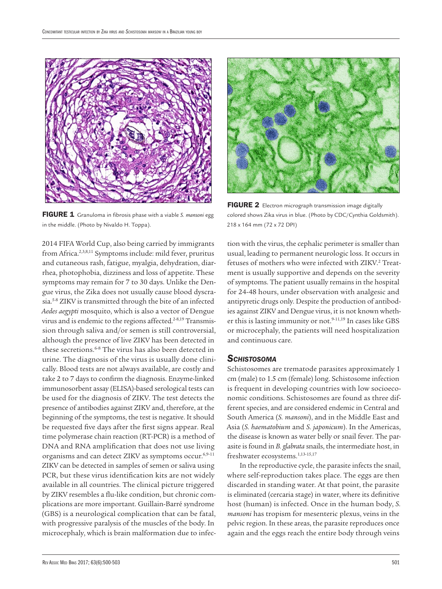

FIGURE 1 Granuloma in fibrosis phase with a viable *S. mansoni* egg in the middle. (Photo by Nivaldo H. Toppa).

2014 FIFA World Cup, also being carried by immigrants from Africa.2,3,8,11 Symptoms include: mild fever, pruritus and cutaneous rash, fatigue, myalgia, dehydration, diarrhea, photophobia, dizziness and loss of appetite. These symptoms may remain for 7 to 30 days. Unlike the Dengue virus, the Zika does not usually cause blood dyscrasia.5-8 ZIKV is transmitted through the bite of an infected *Aedes aegypti* mosquito, which is also a vector of Dengue virus and is endemic to the regions affected.<sup>2-8,19</sup> Transmission through saliva and/or semen is still controversial, although the presence of live ZIKV has been detected in these secretions.<sup>6-8</sup> The virus has also been detected in urine. The diagnosis of the virus is usually done clinically. Blood tests are not always available, are costly and take 2 to 7 days to confirm the diagnosis. Enzyme-linked immunosorbent assay (ELISA)-based serological tests can be used for the diagnosis of ZIKV. The test detects the presence of antibodies against ZIKV and, therefore, at the beginning of the symptoms, the test is negative. It should be requested five days after the first signs appear. Real time polymerase chain reaction (RT-PCR) is a method of DNA and RNA amplification that does not use living organisms and can detect ZIKV as symptoms occur.<sup>6,9-11</sup> ZIKV can be detected in samples of semen or saliva using PCR, but these virus identification kits are not widely available in all countries. The clinical picture triggered by ZIKV resembles a flu-like condition, but chronic complications are more important. Guillain-Barré syndrome (GBS) is a neurological complication that can be fatal, with progressive paralysis of the muscles of the body. In microcephaly, which is brain malformation due to infec-



FIGURE 2 Electron micrograph transmission image digitally colored shows Zika virus in blue. (Photo by CDC/Cynthia Goldsmith). 218 x 164 mm (72 x 72 DPI)

tion with the virus, the cephalic perimeter is smaller than usual, leading to permanent neurologic loss. It occurs in fetuses of mothers who were infected with ZIKV.<sup>2</sup> Treatment is usually supportive and depends on the severity of symptoms. The patient usually remains in the hospital for 24-48 hours, under observation with analgesic and antipyretic drugs only. Despite the production of antibodies against ZIKV and Dengue virus, it is not known whether this is lasting immunity or not.<sup>9-11,19</sup> In cases like GBS or microcephaly, the patients will need hospitalization and continuous care.

#### *Schistosoma*

Schistosomes are trematode parasites approximately 1 cm (male) to 1.5 cm (female) long. Schistosome infection is frequent in developing countries with low socioeconomic conditions. Schistosomes are found as three different species, and are considered endemic in Central and South America (*S. mansoni*), and in the Middle East and Asia (*S. haematobium* and *S. japonicum*). In the Americas, the disease is known as water belly or snail fever. The parasite is found in *B. glabrata* snails, the intermediate host, in freshwater ecosystems.<sup>1,13-15,17</sup>

In the reproductive cycle, the parasite infects the snail, where self-reproduction takes place. The eggs are then discarded in standing water. At that point, the parasite is eliminated (cercaria stage) in water, where its definitive host (human) is infected. Once in the human body, *S. mansoni* has tropism for mesenteric plexus, veins in the pelvic region. In these areas, the parasite reproduces once again and the eggs reach the entire body through veins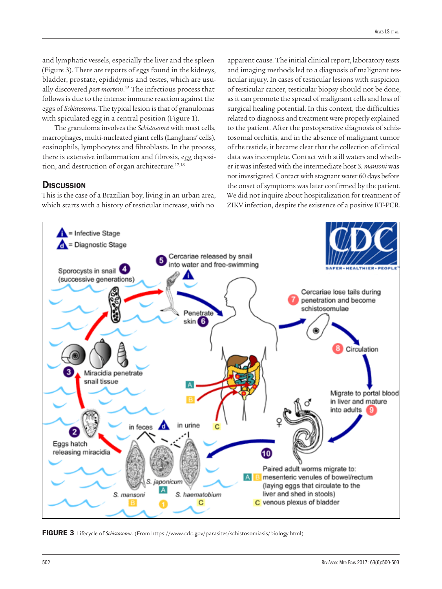and lymphatic vessels, especially the liver and the spleen (Figure 3). There are reports of eggs found in the kidneys, bladder, prostate, epididymis and testes, which are usually discovered *post mortem*. 15 The infectious process that follows is due to the intense immune reaction against the eggs of *Schistosoma*. The typical lesion is that of granulomas with spiculated egg in a central position (Figure 1).

The granuloma involves the *Schistosoma* with mast cells, macrophages, multi-nucleated giant cells (Langhans' cells), eosinophils, lymphocytes and fibroblasts. In the process, there is extensive inflammation and fibrosis, egg deposition, and destruction of organ architecture.<sup>17,18</sup>

#### **Discussion**

This is the case of a Brazilian boy, living in an urban area, which starts with a history of testicular increase, with no

apparent cause. The initial clinical report, laboratory tests and imaging methods led to a diagnosis of malignant testicular injury. In cases of testicular lesions with suspicion of testicular cancer, testicular biopsy should not be done, as it can promote the spread of malignant cells and loss of surgical healing potential. In this context, the difficulties related to diagnosis and treatment were properly explained to the patient. After the postoperative diagnosis of schistosomal orchitis, and in the absence of malignant tumor of the testicle, it became clear that the collection of clinical data was incomplete. Contact with still waters and whether it was infested with the intermediate host *S. mansoni* was not investigated. Contact with stagnant water 60 days before the onset of symptoms was later confirmed by the patient. We did not inquire about hospitalization for treatment of ZIKV infection, despite the existence of a positive RT-PCR.



FIGURE 3 Lifecycle of *Schistosoma*. (From https://www.cdc.gov/parasites/schistosomiasis/biology.html)